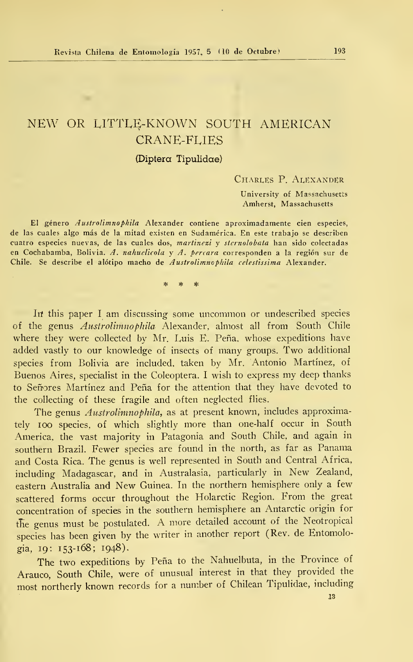# NEW OR UTTLE-KNOWN SOUTH AMERICAN CRANE-FLIES

# (Diptera Tipulidae)

Charles P. Alexander

University of Massachusetís Amherst, Massachusetts

El género Austrolimnpphila Alexander contiene aproximadamente cien especies, de las cuales algo más de la mitad existen en Sudamérica. En este trabajo se describen cuatro especies nuevas, de las cuales dos, martinezi y sternolobata han sido colectadas en Cochabamba, Bolivia. A. nahuelicola y A. percara corresponden a la región sur de Chile. Se describe el alótipo macho de Austrolimnophila celestissima Alexander.

> ÷ sk.  $\ast$

In this paper I am discussing some uncommon or undescribed species of the genus *Austrolimnophila* Alexander, almost all from South Chile where they were collected by Mr. Luis E. Peña, whose expeditions have added vastly to our knowledge of insects of many groups. Two additional species from Bolivia are included, taken by Mr. Antonio Martínez, of Buenos Aires, specialist in the Coleoptera. I wish to express my deep thanks to Señores Martínez and Peña for the attention that they have devoted to the collecting of these fragüe and often neglected flies.

The genus *Austrolimnophila*, as at present known, includes approximately ioo species, of which slightly more than one-half occur in South America, the vast majority in Patagonia and South Chile, and again in southern Brazil. Fewer species are found in the north, as far as Panama and Costa Rica. The genus is well represented in South and Central África, including Madagascar, and in Australasia, particularly in New Zealand, eastern Australia and New Guinea. In the northern hemisphere only <sup>a</sup> few scattered forms occur throughout the Holarctic Region. From the great concentration of species in the southern hemisphere an Antarctic origin for the genus must be postulated. A more detailed account of the Neotropical species has been given by the writer in another report (Rev. de Entomología, 19: 153-168; 1943).

The two expeditions by Peña to the Nahuelbuta, in the Province of Arauco, South Chile, were of unusual interest in that they provided the most northerly known records for <sup>a</sup> number of Chilean Tipulidae, including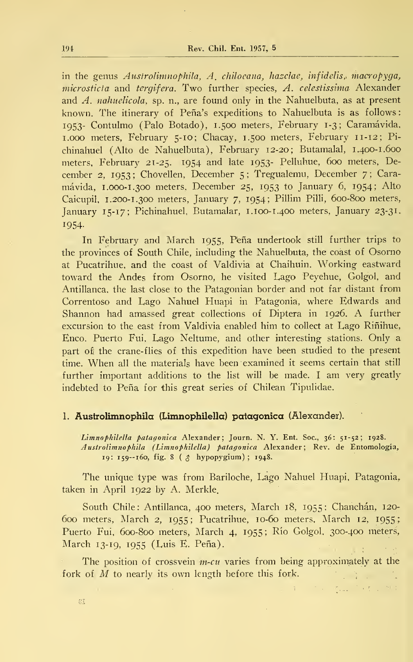in the genus Austrolimnophila, A. chiloeana, hazelae, infidelis, macropyga, microsticta and tergifera. Two further species, A. celestissima Alexander and  $A$ . *nahuelicola*, sp. n., are found only in the Nahuelbuta, as at present known. The itinerary of Peña's expeditions to Nahuelbuta is as follows: 1953- Contulmo (Palo Botado), 1.500 meters, February 1-3; Caramávida, 1.000 meters, February 5-10; Chacay, 1.500 meters, February 11-12; Pichinahuel (Alto de Nahuelbuta), February 12-20; Butamalal, 1. 400-1.600 meters, February 21-25. 1954 and late 1953- Pelluhue, 600 meters, December 2, 1953; Chovellen, December 5; Tregualemu, December 7; Caramávida, 1.000-1.300 meters, December 25, 1953 to January 6, 1954; Alto Caicupil, 1. 200-1.300 meters, January 7, 1954; Pillim Pilli, 600-800 meters, January 15-17; Pichinahuel, Butamalar, 1.100-1.400 meters, January 23-31, 1954-

In February and March 1955, Peña undertook still further trips to the provinces of South Chile, including the Nahuelbuta, the coast of Osorno at Pucatrihue, and the coast of Valdivia at Chaihuin. Working eastward toward the Andes from Osorno, he visited Lago Peyehue, Golgol, and Antillanca, the last close to the Patagonian border and not far distant from Correntoso and Lago Nahuel Huapi in Patagonia, where Edwards and Shannon had amassed great collections of Díptera in 1926. A further excursion to the east from Valdivia enabled him to collect at Lago Riñihue, Enco, Puerto Fui, Lago Neltume, and other interesting stations. Only a part of the crane-flies of this expedition have been studied to the present time. When all the materials have been examined it seems certain that still further important additions to the list will be made. <sup>I</sup> am very greatly indebted to Peña for this great series of Chilean Tipulidae.

# 1. Austrolimnophila (Limnophilella) patagónica (Alexander).

Limnophilella patagonica Alexander; Journ. N. Y. Ent. Soc., 36: 51-52; 1928. Austrolimnophila (Limnophilella) patagónica Alexander; Rev. de Entomología, 19: 159--160, fig. <sup>8</sup> ( \$ hypopygium) ; 1948.

The unique type was from Bariloche, Lago Nahuel Huapi, Patagonia, taken in April 1922 by A. Merkle.

South Chile: Antillanca, 400 meters, March 18, 1955; Chanchán, 120- 600 meters, March 2, 1955; Pucatrihue, 10-60 meters, March 12, 1955' Puerto Fui, 600-800 meters, March 4, 1955; Río Golgol, 300-400 meters, March 13-19, 1955 (Luis E. Peña).

The position of crossvein  $m$ -cu varies from being approximately at the fork of  $M$  to nearly its own length before this fork.  $1.3.7$ 

 $\tau_{\rm max}$ 

 $\mathcal{T}_{\text{max}} = \left[ \begin{array}{cc} 0 & \sqrt{2} & \sqrt{2} & \sqrt{2} & \sqrt{2} \\ \sqrt{2} & \sqrt{2} & \sqrt{2} & \sqrt{2} & \sqrt{2} \\ \sqrt{2} & \sqrt{2} & \sqrt{2} & \sqrt{2} & \sqrt{2} \end{array} \right]$ 

81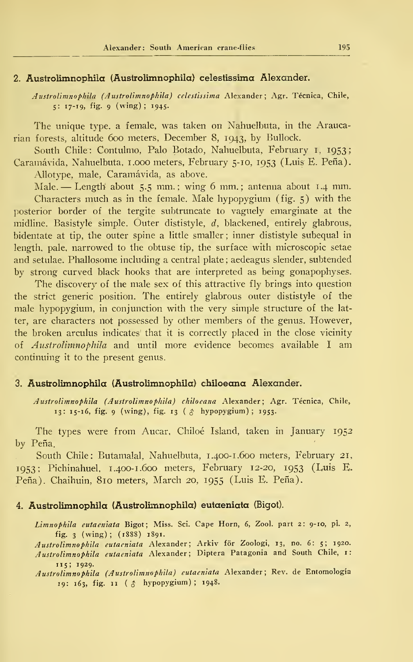## 2. Austrolimnophüa (Austrolimnophila) celestissima Alexander.

Austrolimnophila (Austrolimnophila) celestissima Alexander; Agr. Técnica, Chile, 5: 17-19, fig. <sup>9</sup> (wing) ; 1945.

The unique type, a female, was taken on Nahuelbuta, in the Araucarian forests, altitude 600 meters, December 8, 1943, by Bullock.

South Chile: Contulmo, Palo Botado, Nahuelbuta, February 1, 1953; Caramávida, Nahuelbuta, 1.000 meters, February 5-10, 1953 (Luis E. Peña).

Allotype, male, Caramávida, as above.

Male. — Length about 5.5 mm.; wing-6 mm.; antenna about 1.4 mm.

Characters much as in the female. Male hypopygium (fig. 5) with the posterior border of the tergite subtruncate to vaguely emarginate at the midline. Basistyle simple. Outer dististyle,  $d$ , blackened, entirely glabrous, bidentate at tip, the outer spine a little smaller ; inner dististyle subequal in length, palé, narrowed to the obtuse tip, the surface with microscopic setae and setulae. Phallosome including a central píate ; aedeagus slender, subtended by strong curved black hooks that are interpreted as being gonapophyses.

The discovery of the male sex of this attractive fly brings into question the strict generic position. The entirely glabrous outer dististyle of the male hypopygium, in conjunction with the very simple structure of the latter, are characters not possessed by other members of the genus. However, the broken arculus indicates' that it is correctly placed in the close vicinity of Austrolimnophila and until more evidence becomes available <sup>I</sup> am continuing it to the present genus.

# 3. Austrolimnophila (Austrolimnophila) chiloeana Alexander.

Austrolimnophila (Austrolimnophila) chiloeana Alexander; Agr. Técnica, Chile, 13: 15-16, fig. <sup>9</sup> (wing), fig. <sup>13</sup> ( \$ hypopygium); 1953.

The types were from Aucar, Chiloé Island, taken in January 1952 by Peña.

South Chile: Butamalal, Nahuelbuta, 1.400- 1.600 meters, February 21, IQ53 ; Pichinahuel, 1.400- 1.600 meters, February 12-20, 1953 (Luis E. Peña). Chaihuin, 810 meters, March 20, 1955 (Luis E. Peña).

#### 4. Austrolimnophila (Austrolimnophila) eutaeniata (Bigot).

Limnophila eutaeniata Bigot; Miss. Sci. Cape Horn, 6, Zool. part 2: 9-10, pl. 2, fig. <sup>3</sup> (wing) ; (1888) 1891.

Austrolimnophila eutaeniata Alexander; Arkiv fór Zoologi, 13, no. 6: 5; 1920. Austrolimnophila eutaeniata Alexander; Díptera Patagonia and South Chile, 1: 115; 1929.

Austrolimnophila (Austrolimnophila) eutaeniata Alexander; Rev. de Entomología 19: 163, fig. <sup>11</sup> (\$ hypopygium); 1948.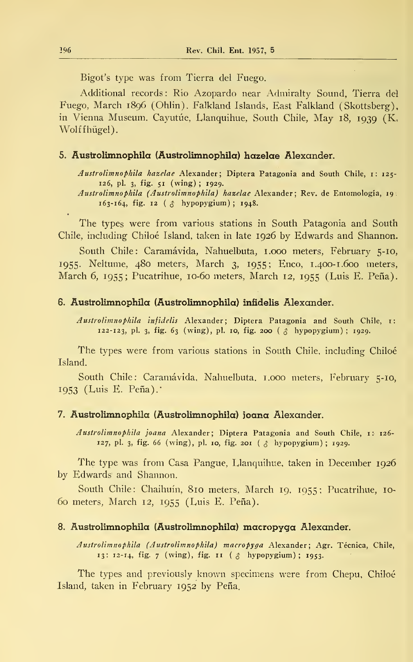Bigot's type was from Tierra del Fuego.

Additional records : Río Azopardo near Admiralty Sound, Tierra del Fuego, March 1896 (Ohlin). Falkland Islands, East Falkland (Skottsberg), in Vienna Museum. Cayutúe, Llanquihue, South Chile, May 18, <sup>1939</sup> (K, Wolffhügel).

## 5. Austrolimnophila (Austrolimnophila) hazelae Alexander.

Austrolimnophila hazelae Alexander; Díptera Patagonia and South Chile, 1: 125- 126, pl. 3, fig. 51 (wing) ; 1929.

Austrolimnophila (Austrolimnophila) hazelae Alexander; Rev. de Entomología, 19;  $163 - 164$ , fig. 12 (  $\upbeta$  hypopygium); 1948.

The types were from various stations in South Patagonia and South Chile, including Chiloé Island, taken in late 1926 by Edwards and Shannon.

South Chile: Caramávida, Nahuelbuta, 1.000 meters, February 5-10, 1955. Neltume, 480 meters, March 3, 1955; Enco, 1.400-1.600 meters, March 6, 1955; Pucatrihue, 10-60 meters, March 12, 1955 (Luis E. Peña).

#### 6. Austrolimnophila (Austrolimnophila) inñdelis Alexander.

Austrolimnophila infidelis Alexander; Díptera Patagonia and South Chile, 1: 122-123, pl. 3, fig. 63 (wing), pl. 10, fig. 200 ( $\beta$  hypopygium); 1929.

The types were from various stations in South Chile, including Chiloé Island.

South Chile: Caramávida, Nahuelbuta. 1.000 meters, February 5-10, 1953 (Luis E. Peña)."

# 7. Austrolimnophila (Austrolimnophila) joana Alexander.

Austrolimnophila joana Alexander; Díptera Patagonia and South Chile, 1: 126- 127, pl. 3, fig. 66 (wing), pl. 10, fig. 201 (  $\delta$  hypopygium); 1929.

The type was from Casa Pangue, Llanquihue, taken in December 1926 by Edwards' and Shannon.

South Chile: Chaihuín, 810 meters, March 19, 1955; Pucatrihue, 10- 60 meters, March 12, 1955 (Luis E. Peña).

#### 8. Austrolimnophila (Austrolimnophila) macropyga Alexander.

Austrolimnophila (Austrolimnophila) macropyga Alexander; Agr. Técnica, Chile, 13: 12-14, fig. 7 (wing), fig. 11 (  $\circ$  hypopygium); 1953.

The types and previously known specimens were from Chepu, Chiloé Island, taken in February 1952 by Peña.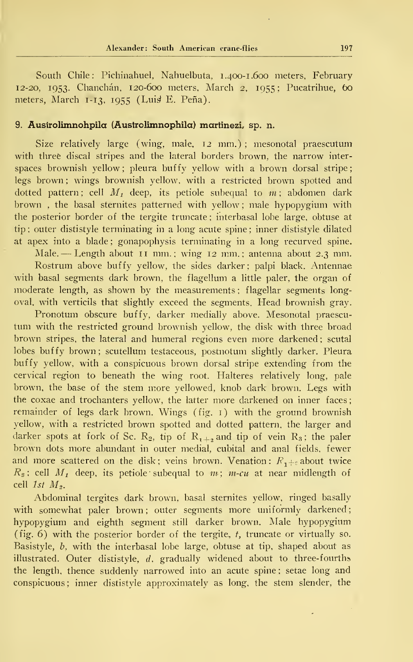South Chile: Pichinahuel, Nahuelbuta, 1.400-1.600 meters, February 12-20, 1953. Chanchán, 120-600 meters, March 2, 1955 ; Pucatrihue, 60 meters, March 1-13, 1955 (Luis E. Peña).

# 9. Ausirolimnohpila (Austrolimnophila) martinezi, sp. n.

Size relatively large (wing, male, 12 mm.) ; mesonotal praescutum with three discal stripes and the lateral borders brown, the narrow interspaces brownish yellow; pleura buffy yellow with a brown dorsal stripe; legs brown ; wings brownish yellow, with a restricted brown spotted and dotted pattern; cell  $M_t$  deep, its petiole subequal to  $m$ ; abdomen dark brown , the basal sternites patterned with yellow ; male hypopygium with the posterior border of the tergite truncate; interbasal lobe large, obtuse at tip ; outer dististyle terminating in a long acute spine ; inner dististyle dilated at apex into a blade ; gonapophysis terminating in a long recurved spine.

Male. — Length about <sup>11</sup> mm. ; wing <sup>12</sup> mm. ; antenna about 2.3 mm.

Rostrum above buffy yellow, the sides darker; palpi black. Antennae with basal segments dark brown, the flagellum a little paler, the organ of moderate length, as shown by the measurements; flagellar segments longoval, with verticils that slightly exceed the segments. Head brownish gray.

Pronotum obscure buffy, darker medially above. Mesonotal praescutum with the restricted ground brownish yellow, the disk with three broad brown stripes, the lateral and humeral regions even more darkened ; scutal lobes buffy brown; scutellum testaceous, postnotum slightly darker. Pleura buffy yellow, with a conspicuous brown dorsal stripe extending from the cervical región to beneath the wing root. Halteres relatively long, palé brown, the base of the stem more yellowed, knob dark brown. Legs with the coxae and trochanters yellow, the latter more darkened on inner faces remainder of legs dark brown. Wings (fig. 1) with the ground brownish yellow, with a restricted brown spotted and dotted pattern, the larger and darker spots at fork of Sc. R<sub>2</sub>, tip of R<sub>1+2</sub> and tip of vein R<sub>3</sub>; the paler brown dots more abundant in outer medial, cubital and anal fields, fewer and more scattered on the disk; veins brown. Venation:  $R_{1+\epsilon}$  about twice  $R_s$ ; cell  $M_t$  deep, its petiole subequal to  $m$ ;  $m$ -cu at near midlength of cell 1st  $M_2$ .

Abdominal tergites dark brown, basal sternites yellow, ringed basally with somewhat paler brown; outer segments more uniformly darkened; hypopygium and eighth segment still darker brown. Male hypopygium (fig.  $6$ ) with the posterior border of the tergite, t, truncate or virtually so. Basistyle, b, with the interbasal lobe large, obtuse at tip, shaped about as illustrated. Outer dististyle,  $d$ , gradually widened about to three-fourths the length, thence suddenly narrowed into an acute spine ; setae long and conspicuous ; inner dististyle approximately as long, the stem slender, the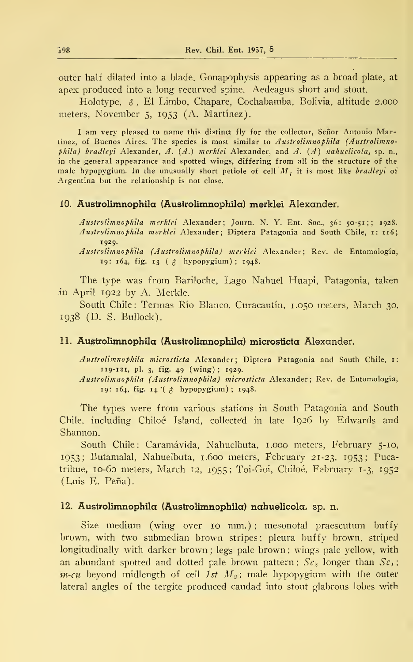outer half dilated into a blade. Gonapophysis appearing as a broad píate, at apex produced into a long recurved spine. Aedeagus short and stout.

Holotype, \$ , El Limbo, Chapare, Cochabamba, Bolivia, altitude 2.000 meters, November 5, 1953 (A. Martínez).

I am very pleased to name this distinct fly for the collector, Señor Antonio Martinez, of Buenos Aires. The species is most similar to Austrolimnophila (Austrolimnophila) bradleyi Alexander,  $A. (A.)$  merklei Alexander, and  $A. (A)$  nahuelicola, sp. n., in the general appearance and spotted wings, differing from all in the structure of the male hypopygium. In the unusually short petiole of cell  $M_t$ , it is most like *bradleyi* of Argentina but the relationship is not close.

#### 10. Austrolimnophila (Austrolimnophila) merklei Alexander.

Austrolimnophila merklei Alexander; Journ. N. Y. Ent. Soc, 36: 50-51;; 1928. Austrolimnophila merklei Alexander; Díptera Patagonia and South Chile, 1: 116; 1929.

Austrolimnophila (Austrolimnophila) merklei Alexander; Rev. de Entomología, 19: 164, fig. 13 (  $\delta$  hypopygium); 1948.

The type was from Bariloche, Lago Nahuel Huapi, Patagonia, taken in April 1922 by A. Merkle.

South Chile: Termas Río Blanco, Curacautín. 1.050 meters, March 30. 1938 (D. S. Bullock).

## 11. Austrolimnophila (Austrolimnophila) microsticta Alexander.

Austrolimnophila microsticta Alexander; Diptera Patagonia and South Chile, 1: 119-121, pl. 3, fig. 49 (wing) ; 1929. Austrolimnophila (Austrolimnophila) microsticta Alexander; Rev. de Entomología,

19: 164, fig. 14 (  $\uparrow$  hypopygium); 1948.

The types were from various stations in South Patagonia and South Chile, including Chiloé Island, collected in late 1926 by Edwards and Shannon.

South Chile: Caramávida, Nahuelbuta, 1.000 meters, February 5-10, 1953; Butamalal, Nahuelbuta, 1.600 meters, February 21-23, 1953; Pucatrihue, 10-60 meters, March 12, 1955; Toi-Goi, Chiloé, February 1-3, 1952 (Luis E. Peña).

## 12. Austrolimnophila (Austrolimnophila) nahuelicola, sp. n.

Size medium (wing over 10 mm.); mesonotal praescutum buffy brown, with two submedian brown stripes ; pleura buffy brown, striped longitudinally with darker brown; legs pale brown; wings pale yellow, with an abundant spotted and dotted pale brown pattern;  $Sc<sub>2</sub>$  longer than  $Sc<sub>1</sub>$ ;  $m$ -cu beyond midlength of cell 1st  $M_2$ ; male hypopygium with the outer lateral angles of the tergite produced caudad into stout glabrous lobes with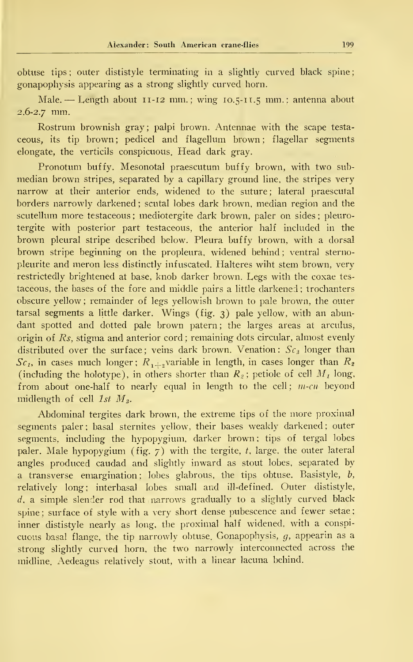obtuse tips; outer dististyle terminating in a slightly curved black spine; gonapophysis appearing as a strong slightly curved horn.

Male. — Length about 11-12 mm. ; wing 10. 5-1 1.5 mm. ; antenna about  $2.6 - 2.7$  mm.

Rostrum brownish gray; palpi brown. Antennae with the scape testa ceous, its tip brown; pedicel and flagellum brown; flagellar segments elongate, the verticils conspicuous. Head dark gray.

Pronotum buffy. Mesonotal praescutum buffy brown, with two sub median brown stripes, separated by a capillary ground line, the stripes very narrow at their anterior ends, widened to the suture; lateral praescutal borders narrowly darkened ; scutal lobes dark brown, median región and the scutellum more testaceous ; mediotergite dark brown, paler on sides ; pleurotergite with posterior part testaceous, the anterior half included in the brown pleural stripe described below. Pleura buffy brown, with a dorsal brown stripe beginning on the propleura, widened behind ; ventral sterno pleurite and meron less distinctly infuscated. Halteres wiht stem brown, very restrictedly brightened at base, knob darker brown. Legs with the coxae tes taceous, the bases of the fore and middle pairs a little darkened ; trochanters obscure yellow ; remainder of legs yellowish brown to palé brown, the outer tarsal segments a little darker. Wings (fig. 3) palé yellow, with an abundant spotted and dotted pale brown patern; the larges areas at arculus, origin of Rs, stigma and anterior cord ; remaining dots circular, almost evenly distributed over the surface; veins dark brown. Venation:  $Sc<sub>3</sub>$  longer than  $Sc<sub>1</sub>$ , in cases much longer;  $R_{1+\frac{1}{2}}$  variable in length, in cases longer than  $R_{2}$ (including the holotype), in others shorter than  $R_2$ ; petiole of cell  $M_1$  long, from about one-half to nearly equal in length to the cell;  $m$ -cu beyond midlength of cell  $1st$   $M<sub>3</sub>$ .

Abdominal tergites dark brown, the extreme tips of the more proximal segments paler; basal sternites yellow, their bases weakly darkened; outer segments, including the hypopygium, darker brown; tips of tergal lobes paler. Male hypopygium (fig.  $7$ ) with the tergite, t, large, the outer lateral angles produced caudad and slightly inward as stout lobes, separated by a transverse emargination; lobes glabrous, the tips obtuse. Basistyle,  $\overline{b}$ , relatively long; interbasal lobes small and ill-defined. Outer dististyle, d, a simple slender rod that narrows gradually to a slightly curved black spine; surface of style with a very short dense pubescence and fewer setae; inner dististyle nearly as long, the proximal half widened, with a conspi cuous basal flange, the tip narrowly obtuse. Gonapophysis, g, appearin as a strong slightly curved horn, the two narrowly interconnected across the midline. Aedeagus relatively stout, with a linear lacuna behind.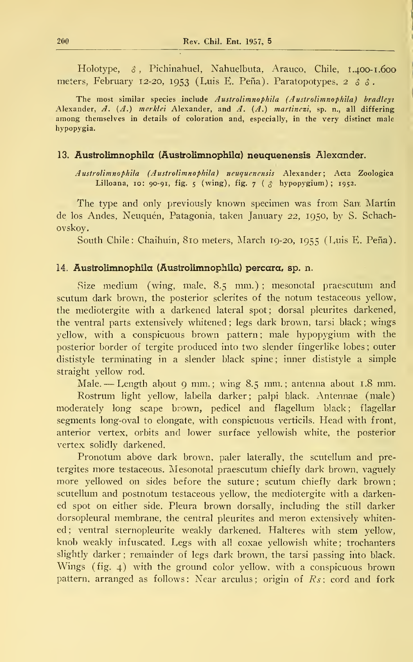Holotype,  $\delta$ , Pichinahuel, Nahuelbuta, Arauco, Chile, 1.400-1.600 meters, February 12-20, 1953 (Luis E. Peña). Paratopotypes, 2  $\delta \delta$ .

The most similar species include Austrolimnophila (Austrolimnophila) bradleyi Alexander, A.  $(A)$  merklei Alexander, and A.  $(A)$  martinezi, sp. n., all differing among themselves in details of coloration and, especially, in the very distinct male hypopygia.

## 13. Austrolimnophila (Austrolimnophila) neuquenensis Alexander.

Austrolimnophila (Austrolimnophila) neuquenensis Alexander; Acta Zoológica Lilloana, 10: 90-91, fig. 5 (wing), fig. 7 ( $\beta$  hypopygium); 1952.

The type and only previously known specimen was from San Martin de los Andes, Neuquén, Patagonia, taken January 22, 1950, by S. Schachovskoy.

South Chile: Chaihuín, 810 meters, March 19-20, 1955 (Luis E. Peña).

# 14. Austrolimnophila (Austrolimnophila) percara, sp. n.

Size medium (wing, male, 8.5 mm.); mesonotal praescutum and scutum dark brown, the posterior sclerites of the notum testaceous yellow, the mediotergite with a darkened lateral spot; dorsal pleurites darkened, the ventral parts extensively whitened ; legs dark brown, tarsi black ; wings yellow, with a conspicuous brown pattern; male hypopygium with the posterior border of tergite produced into two slender fingerlike lobes; outer dististyle terminating in a slender black spine; inner dististyle a simple straight yellow rod.

Male. — Length about 9 mm.; wing 8.5 mm.; antenna about 1.8 mm.

Rostrum light yellow, labella darker; palpi black. Antennae (male) moderately long scape brown, pedicel and flagellum black; flagellar segments long-oval to elongate, with conspieuous verticils. Head with front, anterior vertex, orbits and lower surface yellowish white, the posterior vertex solidly darkened.

Pronotum above dark brown, paler laterally, the scutellum and pretergites more testaceous. Mesonotal praescutum chiefly dark brown, vaguely more yellowed on sides before the suture; scutum chiefly dark brown; scutellum and postnotum testaceous yellow, the mediotergite with a darkened spot on either side. Pleura brown dorsally, including the still darker dorsopleural membrane, the central pleurites and meron extensively whitened; ventral sternopleurite weakly darkened. Halteres with stem yellow, knob weakly infuscated. Legs with all coxae yellowish white; trochanters slightly darker ; remainder of legs dark brown, the tarsi passing into black. Wings (fig. 4) with the ground color yellow, with <sup>a</sup> conspieuous brown pattern, arranged as follows: Near arculus; origin of  $Rs$ ; cord and fork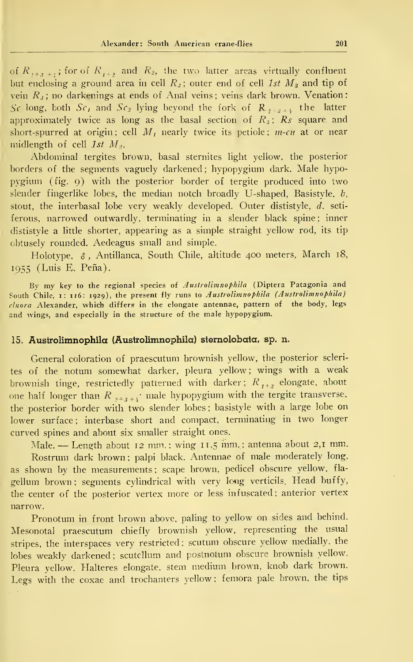of  $R_{1+2+1}$ , for of  $R_{1+2}$  and  $R_2$ , the two latter areas virtually confluent but enclosing a ground area in cell  $R_3$ ; outer end of cell 1st  $M_3$  and tip of vein  $R_3$ ; no darkenings at ends of Anal veins; veins dark brown. Venation: Se long, both  $Sc<sub>L</sub>$  and  $Sc<sub>2</sub>$  lying beyond the fork of  $R_{2+s+1}$  the latter approximately twice as long as the basal section of  $R<sub>5</sub>$ ;  $R<sub>5</sub>$  square and short-spurred at origin; cell  $M_t$  nearly twice its petiole; m-cu at or near midlength of cell 1st  $M_2$ .

Abdominal tergites brown, basal sternites light yellow, the posterior borders of the segments vaguely darkened ; hypopygium dark. Male hypopygium (fig. 9) with the posterior border of tergite produced into two slender fingerlike lobes, the median notch broadly U-shaped, Basistyle,  $b$ , stout, the interbasal lobe very weakly developed. Outer dististyle, d, seti ferous, narrowed outwardly, terminating in a slender black spine ; inner dististyle a little shorter, appearing as a simple straight yellow rod, its tip cbtusely rounded. Aedeagus small and simple.

Holotype. \$ , Antillanca, South Chile, altitude 400 meters, March 18, 1955 (Luis E. Peña).

Bv my key to the regional species of Austrolimnophila (Díptera Patagonia and South Chile, 1: 116: 1929), the present fly runs to Austrolimnophila (Austrolimnophila) cinara Alexander, which differs in the elongate antennae, pattern of the body, legs and wings, and especially in the structure of the male hypopygium.

# 15. Austrolimnophila (Austrolimnophila) sternolobata, sp. n.

General coloration of praescutum brownish yellow, the posterior scleri tes of the notum somewhat darker, pleura yellow; wings with a weak brownish tinge, restrictedly patterned with darker;  $R_{1+2}$  elongate, about one half longer than  $R_{s+s+t}$  male hypopygium with the tergite transverse, the posterior border with two slender lobes ; basistyle with <sup>a</sup> large lobe on lower surface: interbase short and compact, terminating in two longer curved spines and about six smaller straight ones.

Male. — Length about 12 mm.; wing 11,5 mm.; antenna about 2,1 mm. Rostrum dark brown; palpi black. Antennae of male moderately long,

as shown by the measurements; scape brown, pedicel obscure yellow, flagellum brown; segments cylindrical with very long verticils. Head buffy, the center of the posterior vertex more or less infuscated; anterior vertex narrow.

Pronotum in front brown above, paling to yellow on sides and behind. Mesonotal praescutum chiefly brownish yellow, representing the usual stripes, the interspaces very restricted ; scutum obscure yellow medially, the lobes weakly darkened ; scutcllum and postnotum obscure brownish yellow. Pleura yellow. Halteres elongate, stem medium brown, knob dark brown. Legs with the coxae and trochanters yellow; femora pale brown, the tips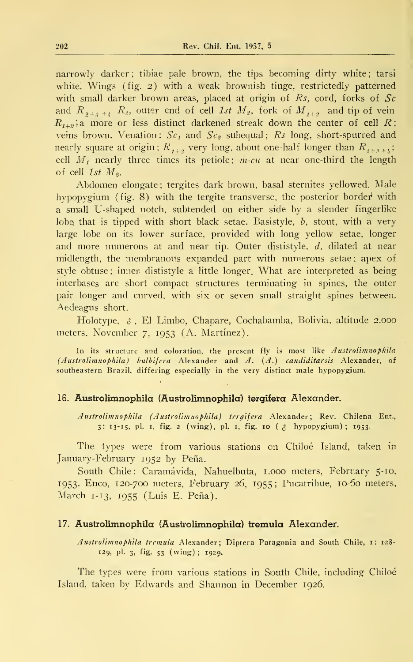narrowly darker; tibiae pale brown, the tips becoming dirty white; tarsi white. Wings (fig. 2) with a weak brownish tinge, restrictedly patterned with small darker brown areas, placed at origin of Rs, cord, forks of  $Sc$ and  $R_{2+3+1}$   $R_2$ , outer end of cell 1st  $M_2$ , fork of  $M_{1+2}$  and tip of vein  $R_{1+2}$ ;a. more or less distinct darkened streak down the center of cell R; veins brown. Venation:  $Sc<sub>I</sub>$  and  $Sc<sub>2</sub>$  subequal; Rs long, short-spurred and nearly square at origin;  $R_{\, t+2}^{}$  very long, about one-half longer than  $R_{\,2+\,2+\,l};\;$ cell  $M_t$  nearly three times its petiole; m-cu at near one-third the length of cell  $1st$   $M_2$ .

Abdomen elongate; tergites dark brown, basal sternites yellowed. Male hypopygium (fig. 8) with the tergite transverse, the posterior border with a small U-shaped notch, subtended on either side by a slender fingerlike lobe that is tipped with short black setae. Basistyle, b, stout, with a very large lobe on its lower surface, provided with long yellow setae, longer and more numerous at and near tip. Outer dististyle, d, dilated at near midlength, the membranous expanded part with numerous setae; apex of style obtuse ; inner dististyle a little longer. What are interpreted as being interbases are short compact structures terminating in spines, the outer pair longer and curved, with six or seven small straight spines between. Aedeagus short.

Holotype,  $\delta$ , El Limbo, Chapare, Cochabamba, Bolivia, altitude 2.000 meters, November 7, 1953 (A. Martínez).

In its structure and coloration, the present fly is most like Austrolimnophila (Austrolimnophila) bulbifera Alexander and A. (A.) candiditarsis Alexander, of southeastern Brazil, differing especially in the very distinct male hypopygium.

## 16. Austrolimnophila (Austrolimnophila) tergifera Alexander.

Austrolimnophila (Austrolimnophila) tergifera Alexander; Rev. Chilena Ent., 3: 13-15, pl. 1, fig. 2 (wing), pl. 1, fig. 10 ( $\delta$  hypopygium); 1953.

The types were from various stations on Chiloé Island, taken in January-February 1952 by Peña.

South Chile: Caramávida, Nahuelbuta, 1.000 meters, February 5-10, 1953. Enco, 120-700 meters, February 26, 1955 ; Pucatrihue, 10-60 meters, March 1-13, 1955 (Luís E. Peña).

## 17. Austrolimnophila (Austrolimnophila) tremula Alexander.

Austrolimnophila tremula Alexander; Diptera Patagonia and South Chile, 1: 128-129, pl. 3, fig. 53 (wing) ; 1929.

The types were from various stations in South Chile, including Chiloé Island, taken by Edwards and Shannon in December 1926.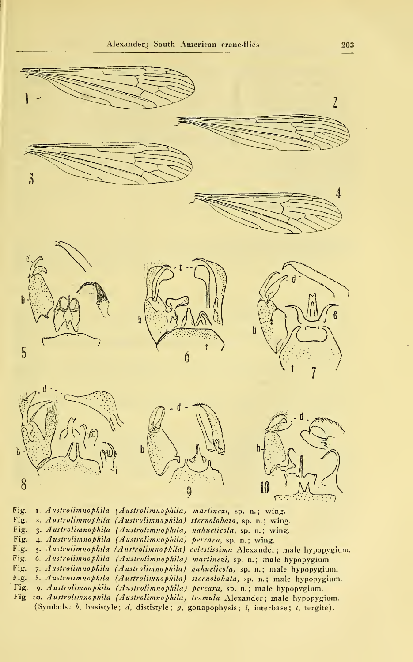

Fig. 1. Austrolimnophila (Austrolimnophila) martinezi, sp. n.; wing. Fig. 2. Austrolimnophila (Austrolimnophila) sternolobata, sp. n. ; wing. Fig. 3- Austrolimnophila (Austrolimnophila) nahuelicola, sp. n. ; wing. Fig. 4. Austrolimnophila (Austrolimnophila) percara, sp. n.; wing. Fig. 5- Austrolimnophila (Austrolimnophila) celestissima Alexander ; male hypopygium. Fig. 6. Austrolimnophila (Austrolimnophila) martinezi, sp. n. ; male hypopygium. Fig. 7- Austrolimnophila (Austrolimnophila) nahuelicola, sp. n. ; male hypopygium. Fig. 8. Austrolimnophila (Austrolimnophila) sternolobata, sp. n. ; male hypopygium. Fig. 9 Austrolimnophila (Austrolimnophila) percara, sp. n. ; male hypopygium. Fig. 10. *Austrolimnophila (Austrolimnophila) trémula* Alexander; male hypopygium. (Symbols: b, basistyle; d, dististyle; g, gonapophysis; i, interbase; t, tergite).